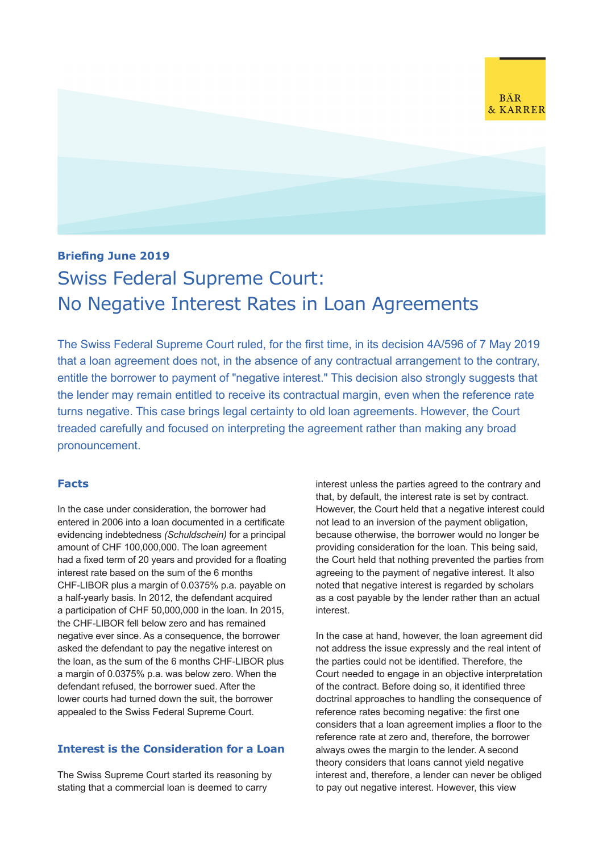

## **Briefing June 2019**

# Swiss Federal Supreme Court: No Negative Interest Rates in Loan Agreements

The Swiss Federal Supreme Court ruled, for the first time, in its decision 4A/596 of 7 May 2019 that a loan agreement does not, in the absence of any contractual arrangement to the contrary, entitle the borrower to payment of "negative interest." This decision also strongly suggests that the lender may remain entitled to receive its contractual margin, even when the reference rate turns negative. This case brings legal certainty to old loan agreements. However, the Court treaded carefully and focused on interpreting the agreement rather than making any broad pronouncement.

## **Facts**

In the case under consideration, the borrower had entered in 2006 into a loan documented in a certificate evidencing indebtedness *(Schuldschein)* for a principal amount of CHF 100,000,000. The loan agreement had a fixed term of 20 years and provided for a floating interest rate based on the sum of the 6 months CHF-LIBOR plus a margin of 0.0375% p.a. payable on a half-yearly basis. In 2012, the defendant acquired a participation of CHF 50,000,000 in the loan. In 2015, the CHF-LIBOR fell below zero and has remained negative ever since. As a consequence, the borrower asked the defendant to pay the negative interest on the loan, as the sum of the 6 months CHF-LIBOR plus a margin of 0.0375% p.a. was below zero. When the defendant refused, the borrower sued. After the lower courts had turned down the suit, the borrower appealed to the Swiss Federal Supreme Court.

## **Interest is the Consideration for a Loan**

The Swiss Supreme Court started its reasoning by stating that a commercial loan is deemed to carry

interest unless the parties agreed to the contrary and that, by default, the interest rate is set by contract. However, the Court held that a negative interest could not lead to an inversion of the payment obligation, because otherwise, the borrower would no longer be providing consideration for the loan. This being said, the Court held that nothing prevented the parties from agreeing to the payment of negative interest. It also noted that negative interest is regarded by scholars as a cost payable by the lender rather than an actual interest.

In the case at hand, however, the loan agreement did not address the issue expressly and the real intent of the parties could not be identified. Therefore, the Court needed to engage in an objective interpretation of the contract. Before doing so, it identified three doctrinal approaches to handling the consequence of reference rates becoming negative: the first one considers that a loan agreement implies a floor to the reference rate at zero and, therefore, the borrower always owes the margin to the lender. A second theory considers that loans cannot yield negative interest and, therefore, a lender can never be obliged to pay out negative interest. However, this view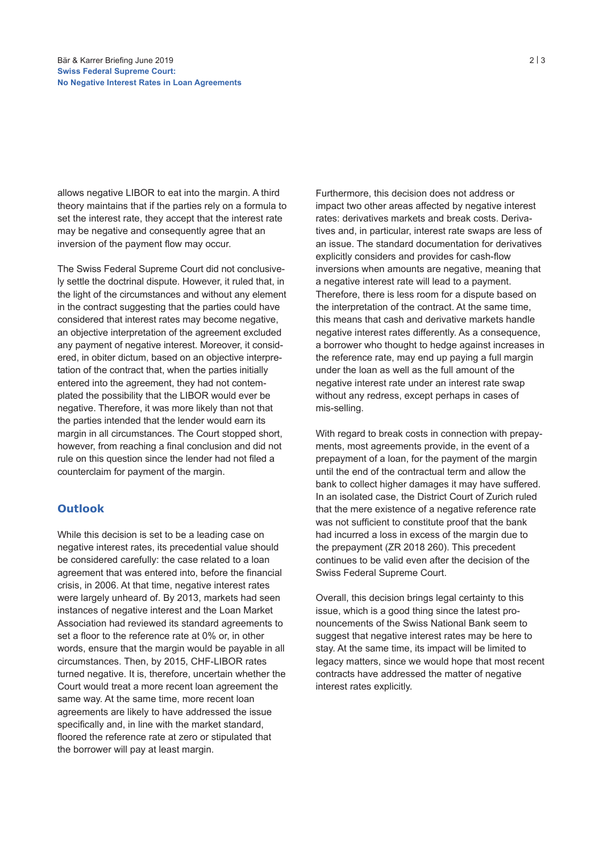allows negative LIBOR to eat into the margin. A third theory maintains that if the parties rely on a formula to set the interest rate, they accept that the interest rate may be negative and consequently agree that an inversion of the payment flow may occur.

The Swiss Federal Supreme Court did not conclusively settle the doctrinal dispute. However, it ruled that, in the light of the circumstances and without any element in the contract suggesting that the parties could have considered that interest rates may become negative, an objective interpretation of the agreement excluded any payment of negative interest. Moreover, it considered, in obiter dictum, based on an objective interpretation of the contract that, when the parties initially entered into the agreement, they had not contemplated the possibility that the LIBOR would ever be negative. Therefore, it was more likely than not that the parties intended that the lender would earn its margin in all circumstances. The Court stopped short, however, from reaching a final conclusion and did not rule on this question since the lender had not filed a counterclaim for payment of the margin.

## **Outlook**

While this decision is set to be a leading case on negative interest rates, its precedential value should be considered carefully: the case related to a loan agreement that was entered into, before the financial crisis, in 2006. At that time, negative interest rates were largely unheard of. By 2013, markets had seen instances of negative interest and the Loan Market Association had reviewed its standard agreements to set a floor to the reference rate at 0% or, in other words, ensure that the margin would be payable in all circumstances. Then, by 2015, CHF-LIBOR rates turned negative. It is, therefore, uncertain whether the Court would treat a more recent loan agreement the same way. At the same time, more recent loan agreements are likely to have addressed the issue specifically and, in line with the market standard, floored the reference rate at zero or stipulated that the borrower will pay at least margin.

Furthermore, this decision does not address or impact two other areas affected by negative interest rates: derivatives markets and break costs. Derivatives and, in particular, interest rate swaps are less of an issue. The standard documentation for derivatives explicitly considers and provides for cash-flow inversions when amounts are negative, meaning that a negative interest rate will lead to a payment. Therefore, there is less room for a dispute based on the interpretation of the contract. At the same time, this means that cash and derivative markets handle negative interest rates differently. As a consequence, a borrower who thought to hedge against increases in the reference rate, may end up paying a full margin under the loan as well as the full amount of the negative interest rate under an interest rate swap without any redress, except perhaps in cases of mis-selling.

With regard to break costs in connection with prepayments, most agreements provide, in the event of a prepayment of a loan, for the payment of the margin until the end of the contractual term and allow the bank to collect higher damages it may have suffered. In an isolated case, the District Court of Zurich ruled that the mere existence of a negative reference rate was not sufficient to constitute proof that the bank had incurred a loss in excess of the margin due to the prepayment (ZR 2018 260). This precedent continues to be valid even after the decision of the Swiss Federal Supreme Court.

Overall, this decision brings legal certainty to this issue, which is a good thing since the latest pronouncements of the Swiss National Bank seem to suggest that negative interest rates may be here to stay. At the same time, its impact will be limited to legacy matters, since we would hope that most recent contracts have addressed the matter of negative interest rates explicitly.